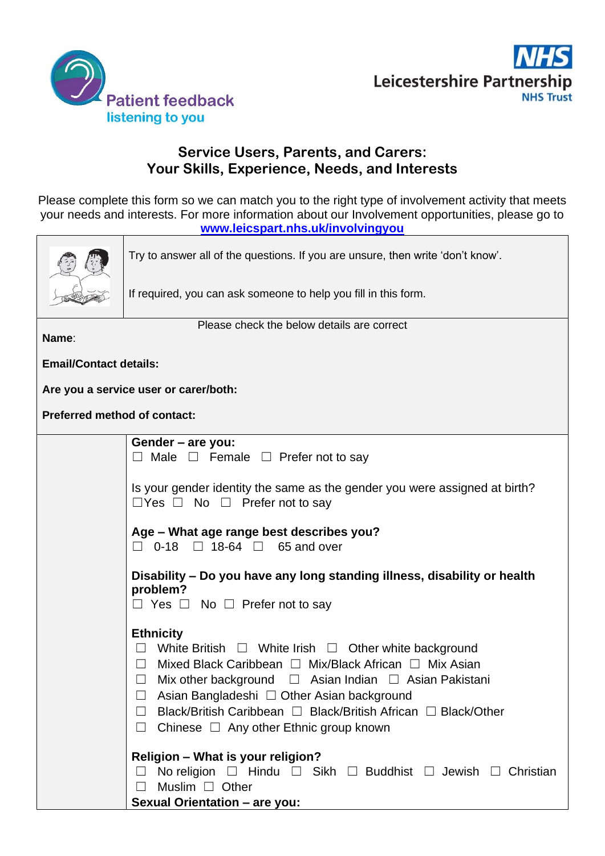



# **Service Users, Parents, and Carers: Your Skills, Experience, Needs, and Interests**

Please complete this form so we can match you to the right type of involvement activity that meets your needs and interests. For more information about our Involvement opportunities, please go to **[www.leicspart.nhs.uk/involvingyou](http://www.leicspart.nhs.uk/involvingyou)**



Try to answer all of the questions. If you are unsure, then write 'don't know'.

If required, you can ask someone to help you fill in this form.

**Name**:

Please check the below details are correct

**Email/Contact details:**

**Are you a service user or carer/both:**

**Preferred method of contact:**

| Gender – are you:<br>$\Box$ Male $\Box$ Female $\Box$ Prefer not to say                                                                                                                                                                                                                                                                                                                                                                             |  |
|-----------------------------------------------------------------------------------------------------------------------------------------------------------------------------------------------------------------------------------------------------------------------------------------------------------------------------------------------------------------------------------------------------------------------------------------------------|--|
| Is your gender identity the same as the gender you were assigned at birth?<br>$\Box$ Yes $\Box$ No $\Box$ Prefer not to say                                                                                                                                                                                                                                                                                                                         |  |
| Age - What age range best describes you?<br>$\Box$ 0-18 $\Box$ 18-64 $\Box$ 65 and over                                                                                                                                                                                                                                                                                                                                                             |  |
| Disability - Do you have any long standing illness, disability or health<br>problem?<br>$\Box$ Yes $\Box$ No $\Box$ Prefer not to say                                                                                                                                                                                                                                                                                                               |  |
| <b>Ethnicity</b><br>White British $\Box$ White Irish $\Box$ Other white background<br>$\perp$<br>Mixed Black Caribbean $\Box$ Mix/Black African $\Box$ Mix Asian<br>$\Box$<br>Mix other background $\Box$ Asian Indian $\Box$ Asian Pakistani<br>$\Box$<br>Asian Bangladeshi □ Other Asian background<br>$\Box$<br>Black/British Caribbean □ Black/British African □ Black/Other<br>$\Box$<br>Chinese $\Box$ Any other Ethnic group known<br>$\Box$ |  |
| <b>Religion - What is your religion?</b><br>No religion $\Box$ Hindu $\Box$ Sikh $\Box$ Buddhist $\Box$ Jewish $\Box$<br>Christian<br>Muslim $\Box$ Other<br>$\Box$                                                                                                                                                                                                                                                                                 |  |
| <b>Sexual Orientation - are you:</b>                                                                                                                                                                                                                                                                                                                                                                                                                |  |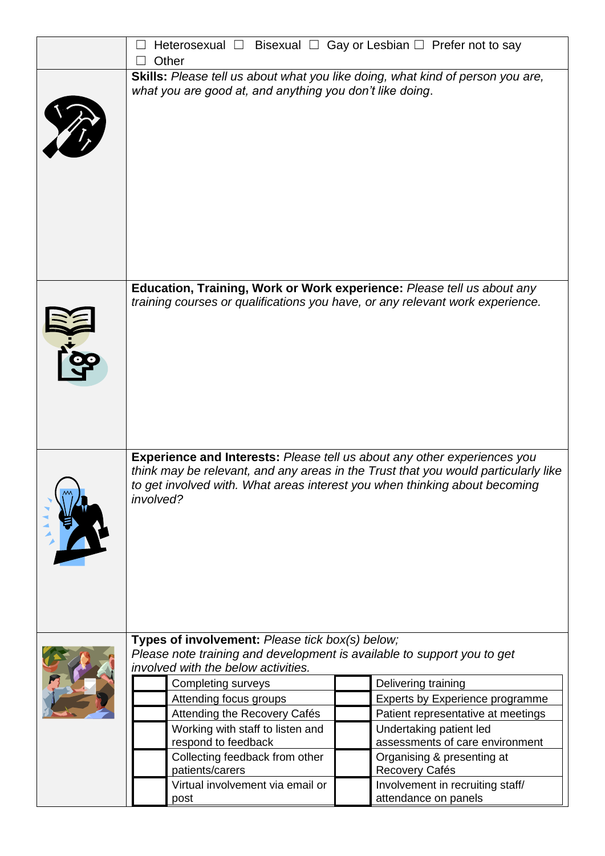| Other                                                                                                                                                                                                                                                                                                                                                                                                                | Heterosexual $\Box$ Bisexual $\Box$ Gay or Lesbian $\Box$ Prefer not to say                                                                                                                                                                                            |
|----------------------------------------------------------------------------------------------------------------------------------------------------------------------------------------------------------------------------------------------------------------------------------------------------------------------------------------------------------------------------------------------------------------------|------------------------------------------------------------------------------------------------------------------------------------------------------------------------------------------------------------------------------------------------------------------------|
| what you are good at, and anything you don't like doing.                                                                                                                                                                                                                                                                                                                                                             | Skills: Please tell us about what you like doing, what kind of person you are,                                                                                                                                                                                         |
|                                                                                                                                                                                                                                                                                                                                                                                                                      | Education, Training, Work or Work experience: Please tell us about any<br>training courses or qualifications you have, or any relevant work experience.                                                                                                                |
| involved?                                                                                                                                                                                                                                                                                                                                                                                                            | <b>Experience and Interests: Please tell us about any other experiences you</b><br>think may be relevant, and any areas in the Trust that you would particularly like<br>to get involved with. What areas interest you when thinking about becoming                    |
| Types of involvement: Please tick box(s) below;<br>Please note training and development is available to support you to get<br>involved with the below activities.<br><b>Completing surveys</b><br>Attending focus groups<br>Attending the Recovery Cafés<br>Working with staff to listen and<br>respond to feedback<br>Collecting feedback from other<br>patients/carers<br>Virtual involvement via email or<br>post | Delivering training<br>Experts by Experience programme<br>Patient representative at meetings<br>Undertaking patient led<br>assessments of care environment<br>Organising & presenting at<br>Recovery Cafés<br>Involvement in recruiting staff/<br>attendance on panels |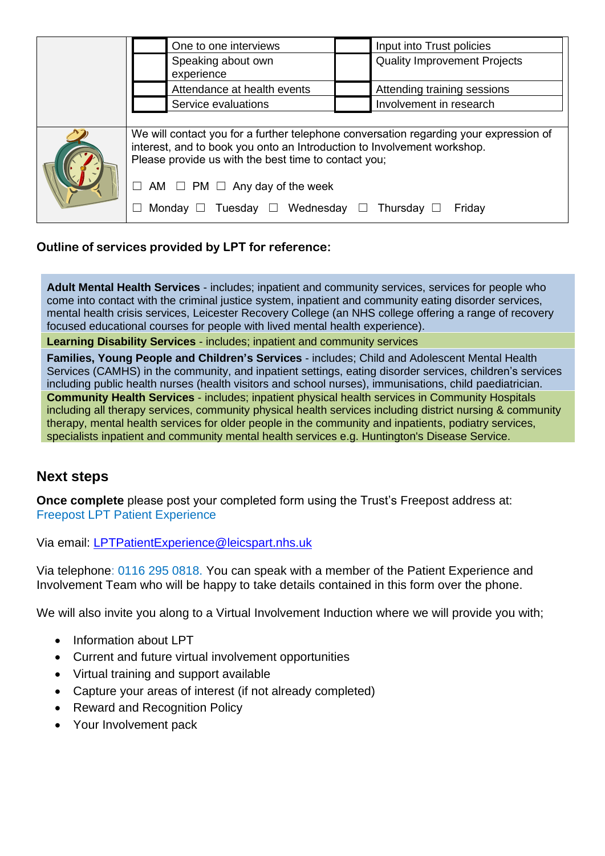|  | One to one interviews                                                                                                                                                                                                    | Input into Trust policies           |  |
|--|--------------------------------------------------------------------------------------------------------------------------------------------------------------------------------------------------------------------------|-------------------------------------|--|
|  | Speaking about own<br>experience                                                                                                                                                                                         | <b>Quality Improvement Projects</b> |  |
|  | Attendance at health events                                                                                                                                                                                              | Attending training sessions         |  |
|  | Service evaluations                                                                                                                                                                                                      | Involvement in research             |  |
|  |                                                                                                                                                                                                                          |                                     |  |
|  | We will contact you for a further telephone conversation regarding your expression of<br>interest, and to book you onto an Introduction to Involvement workshop.<br>Please provide us with the best time to contact you; |                                     |  |
|  | $\Box$ AM $\Box$ PM $\Box$ Any day of the week                                                                                                                                                                           |                                     |  |
|  | Monday $\Box$ Tuesday $\Box$ Wednesday $\Box$ Thursday $\Box$                                                                                                                                                            | Friday                              |  |

## **Outline of services provided by LPT for reference:**

**Adult Mental Health Services** - includes; inpatient and community services, services for people who come into contact with the criminal justice system, inpatient and community eating disorder services, mental health crisis services, Leicester Recovery College (an NHS college offering a range of recovery focused educational courses for people with lived mental health experience).

**Learning Disability Services** - includes; inpatient and community services

**Families, Young People and Children's Services** - includes; Child and Adolescent Mental Health Services (CAMHS) in the community, and inpatient settings, eating disorder services, children's services including public health nurses (health visitors and school nurses), immunisations, child paediatrician. **Community Health Services** - includes; inpatient physical health services in Community Hospitals including all therapy services, community physical health services including district nursing & community therapy, mental health services for older people in the community and inpatients, podiatry services, specialists inpatient and community mental health services e.g. Huntington's Disease Service.

# **Next steps**

**Once complete** please post your completed form using the Trust's Freepost address at: Freepost LPT Patient Experience

Via email: [LPTPatientExperience@leicspart.nhs.uk](mailto:LPTPatientExperience@leicspart.nhs.uk)

Via telephone: 0116 295 0818. You can speak with a member of the Patient Experience and Involvement Team who will be happy to take details contained in this form over the phone.

We will also invite you along to a Virtual Involvement Induction where we will provide you with;

- Information about LPT
- Current and future virtual involvement opportunities
- Virtual training and support available
- Capture your areas of interest (if not already completed)
- Reward and Recognition Policy
- Your Involvement pack